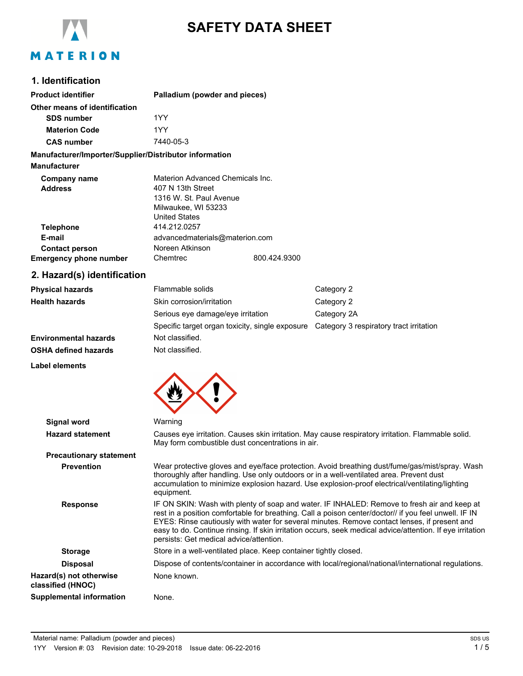

# **SAFETY DATA SHEET**

# **1. Identification**

| <b>Product identifier</b>                              | Palladium (powder and pieces)                                                                                                   |              |                                                                                         |
|--------------------------------------------------------|---------------------------------------------------------------------------------------------------------------------------------|--------------|-----------------------------------------------------------------------------------------|
| Other means of identification                          |                                                                                                                                 |              |                                                                                         |
| <b>SDS number</b>                                      | 1YY                                                                                                                             |              |                                                                                         |
| <b>Materion Code</b>                                   | 1YY                                                                                                                             |              |                                                                                         |
| <b>CAS number</b>                                      | 7440-05-3                                                                                                                       |              |                                                                                         |
| Manufacturer/Importer/Supplier/Distributor information |                                                                                                                                 |              |                                                                                         |
| <b>Manufacturer</b>                                    |                                                                                                                                 |              |                                                                                         |
| <b>Company name</b><br><b>Address</b>                  | Materion Advanced Chemicals Inc.<br>407 N 13th Street<br>1316 W. St. Paul Avenue<br>Milwaukee, WI 53233<br><b>United States</b> |              |                                                                                         |
| <b>Telephone</b>                                       | 414.212.0257                                                                                                                    |              |                                                                                         |
| E-mail                                                 | advancedmaterials@materion.com                                                                                                  |              |                                                                                         |
| <b>Contact person</b>                                  | Noreen Atkinson                                                                                                                 |              |                                                                                         |
| <b>Emergency phone number</b>                          | Chemtrec                                                                                                                        | 800.424.9300 |                                                                                         |
| 2. Hazard(s) identification                            |                                                                                                                                 |              |                                                                                         |
| <b>Physical hazards</b>                                | Flammable solids                                                                                                                |              | Category 2                                                                              |
| <b>Health hazards</b>                                  | Skin corrosion/irritation                                                                                                       |              | Category 2                                                                              |
|                                                        | Serious eye damage/eye irritation                                                                                               |              | Category 2A                                                                             |
|                                                        |                                                                                                                                 |              | Specific target organ toxicity, single exposure Category 3 respiratory tract irritation |
| <b>Environmental hazards</b>                           | Not classified.                                                                                                                 |              |                                                                                         |
| <b>OSHA defined hazards</b>                            | Not classified.                                                                                                                 |              |                                                                                         |
| <b>Label elements</b>                                  |                                                                                                                                 |              |                                                                                         |
|                                                        |                                                                                                                                 |              |                                                                                         |
| <b>Signal word</b>                                     | Warning                                                                                                                         |              |                                                                                         |

**Hazard statement** Causes eye irritation. Causes skin irritation. May cause respiratory irritation. Flammable solid. May form combustible dust concentrations in air. **Precautionary statement Prevention** Wear protective gloves and eye/face protection. Avoid breathing dust/fume/gas/mist/spray. Wash thoroughly after handling. Use only outdoors or in a well-ventilated area. Prevent dust accumulation to minimize explosion hazard. Use explosion-proof electrical/ventilating/lighting equipment. **Response** IF ON SKIN: Wash with plenty of soap and water. IF INHALED: Remove to fresh air and keep at rest in a position comfortable for breathing. Call a poison center/doctor// if you feel unwell. IF IN EYES: Rinse cautiously with water for several minutes. Remove contact lenses, if present and easy to do. Continue rinsing. If skin irritation occurs, seek medical advice/attention. If eye irritation persists: Get medical advice/attention. **Storage** Store in a well-ventilated place. Keep container tightly closed. **Disposal** Dispose of contents/container in accordance with local/regional/national/international regulations. **Hazard(s) not otherwise classified (HNOC)** None known. **Supplemental information** None.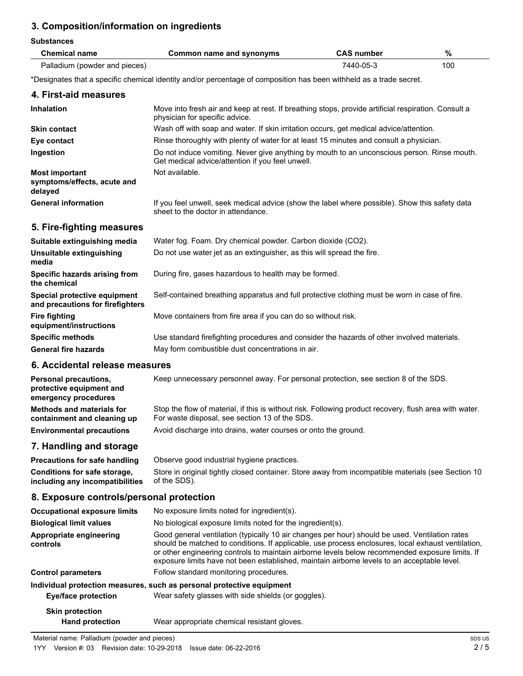# **3. Composition/information on ingredients**

| <b>Substances</b>                                                         |                                                                                                                                                                                                                                                                                                                                                                                                        |                   |      |  |
|---------------------------------------------------------------------------|--------------------------------------------------------------------------------------------------------------------------------------------------------------------------------------------------------------------------------------------------------------------------------------------------------------------------------------------------------------------------------------------------------|-------------------|------|--|
| <b>Chemical name</b>                                                      | <b>Common name and synonyms</b>                                                                                                                                                                                                                                                                                                                                                                        | <b>CAS number</b> | $\%$ |  |
| Palladium (powder and pieces)                                             |                                                                                                                                                                                                                                                                                                                                                                                                        | 7440-05-3         | 100  |  |
|                                                                           | *Designates that a specific chemical identity and/or percentage of composition has been withheld as a trade secret.                                                                                                                                                                                                                                                                                    |                   |      |  |
| 4. First-aid measures                                                     |                                                                                                                                                                                                                                                                                                                                                                                                        |                   |      |  |
| <b>Inhalation</b>                                                         | Move into fresh air and keep at rest. If breathing stops, provide artificial respiration. Consult a<br>physician for specific advice.                                                                                                                                                                                                                                                                  |                   |      |  |
| <b>Skin contact</b>                                                       | Wash off with soap and water. If skin irritation occurs, get medical advice/attention.                                                                                                                                                                                                                                                                                                                 |                   |      |  |
| Eye contact                                                               | Rinse thoroughly with plenty of water for at least 15 minutes and consult a physician.                                                                                                                                                                                                                                                                                                                 |                   |      |  |
| Ingestion                                                                 | Do not induce vomiting. Never give anything by mouth to an unconscious person. Rinse mouth.<br>Get medical advice/attention if you feel unwell.                                                                                                                                                                                                                                                        |                   |      |  |
| <b>Most important</b><br>symptoms/effects, acute and<br>delayed           | Not available.                                                                                                                                                                                                                                                                                                                                                                                         |                   |      |  |
| <b>General information</b>                                                | If you feel unwell, seek medical advice (show the label where possible). Show this safety data<br>sheet to the doctor in attendance.                                                                                                                                                                                                                                                                   |                   |      |  |
| 5. Fire-fighting measures                                                 |                                                                                                                                                                                                                                                                                                                                                                                                        |                   |      |  |
| Suitable extinguishing media                                              | Water fog. Foam. Dry chemical powder. Carbon dioxide (CO2).                                                                                                                                                                                                                                                                                                                                            |                   |      |  |
| Unsuitable extinguishing<br>media                                         | Do not use water jet as an extinguisher, as this will spread the fire.                                                                                                                                                                                                                                                                                                                                 |                   |      |  |
| Specific hazards arising from<br>the chemical                             | During fire, gases hazardous to health may be formed.                                                                                                                                                                                                                                                                                                                                                  |                   |      |  |
| Special protective equipment<br>and precautions for firefighters          | Self-contained breathing apparatus and full protective clothing must be worn in case of fire.                                                                                                                                                                                                                                                                                                          |                   |      |  |
| <b>Fire fighting</b><br>equipment/instructions                            | Move containers from fire area if you can do so without risk.                                                                                                                                                                                                                                                                                                                                          |                   |      |  |
| <b>Specific methods</b>                                                   | Use standard firefighting procedures and consider the hazards of other involved materials.                                                                                                                                                                                                                                                                                                             |                   |      |  |
| <b>General fire hazards</b>                                               | May form combustible dust concentrations in air.                                                                                                                                                                                                                                                                                                                                                       |                   |      |  |
| 6. Accidental release measures                                            |                                                                                                                                                                                                                                                                                                                                                                                                        |                   |      |  |
| Personal precautions,<br>protective equipment and<br>emergency procedures | Keep unnecessary personnel away. For personal protection, see section 8 of the SDS.                                                                                                                                                                                                                                                                                                                    |                   |      |  |
| <b>Methods and materials for</b><br>containment and cleaning up           | Stop the flow of material, if this is without risk. Following product recovery, flush area with water.<br>For waste disposal, see section 13 of the SDS.                                                                                                                                                                                                                                               |                   |      |  |
| <b>Environmental precautions</b>                                          | Avoid discharge into drains, water courses or onto the ground.                                                                                                                                                                                                                                                                                                                                         |                   |      |  |
| 7. Handling and storage                                                   |                                                                                                                                                                                                                                                                                                                                                                                                        |                   |      |  |
| Precautions for safe handling                                             | Observe good industrial hygiene practices.                                                                                                                                                                                                                                                                                                                                                             |                   |      |  |
| Conditions for safe storage,<br>including any incompatibilities           | Store in original tightly closed container. Store away from incompatible materials (see Section 10<br>of the SDS).                                                                                                                                                                                                                                                                                     |                   |      |  |
| 8. Exposure controls/personal protection                                  |                                                                                                                                                                                                                                                                                                                                                                                                        |                   |      |  |
| <b>Occupational exposure limits</b>                                       | No exposure limits noted for ingredient(s).                                                                                                                                                                                                                                                                                                                                                            |                   |      |  |
| <b>Biological limit values</b>                                            | No biological exposure limits noted for the ingredient(s).                                                                                                                                                                                                                                                                                                                                             |                   |      |  |
| Appropriate engineering<br>controls                                       | Good general ventilation (typically 10 air changes per hour) should be used. Ventilation rates<br>should be matched to conditions. If applicable, use process enclosures, local exhaust ventilation,<br>or other engineering controls to maintain airborne levels below recommended exposure limits. If<br>exposure limits have not been established, maintain airborne levels to an acceptable level. |                   |      |  |
| <b>Control parameters</b>                                                 | Follow standard monitoring procedures.                                                                                                                                                                                                                                                                                                                                                                 |                   |      |  |
| <b>Eye/face protection</b>                                                | Individual protection measures, such as personal protective equipment<br>Wear safety glasses with side shields (or goggles).                                                                                                                                                                                                                                                                           |                   |      |  |
| <b>Skin protection</b>                                                    |                                                                                                                                                                                                                                                                                                                                                                                                        |                   |      |  |

# **Hand protection** Wear appropriate chemical resistant gloves.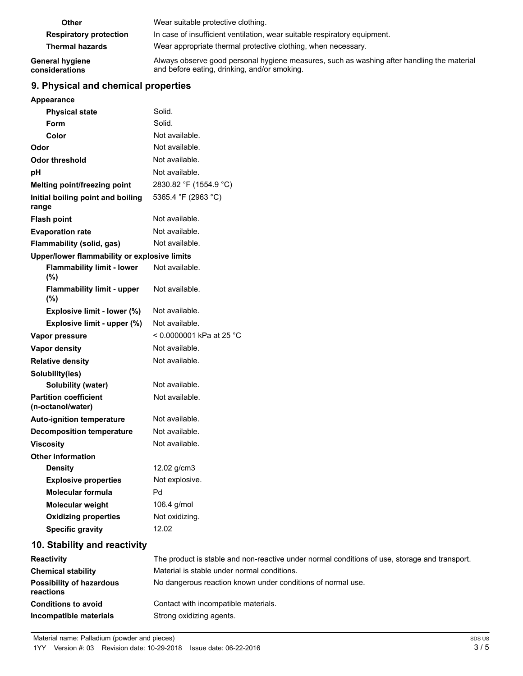| Other                             | Wear suitable protective clothing.                                                                                                         |
|-----------------------------------|--------------------------------------------------------------------------------------------------------------------------------------------|
| <b>Respiratory protection</b>     | In case of insufficient ventilation, wear suitable respiratory equipment.                                                                  |
| <b>Thermal hazards</b>            | Wear appropriate thermal protective clothing, when necessary.                                                                              |
| General hygiene<br>considerations | Always observe good personal hygiene measures, such as washing after handling the material<br>and before eating, drinking, and/or smoking. |

# **9. Physical and chemical properties**

|  |  |  | Appearance |  |
|--|--|--|------------|--|

| Appearance                                        |                          |
|---------------------------------------------------|--------------------------|
| <b>Physical state</b>                             | Solid.                   |
| Form                                              | Solid.                   |
| Color                                             | Not available.           |
| Odor                                              | Not available.           |
| <b>Odor threshold</b>                             | Not available.           |
| pH                                                | Not available.           |
| Melting point/freezing point                      | 2830.82 °F (1554.9 °C)   |
| Initial boiling point and boiling<br>range        | 5365.4 °F (2963 °C)      |
| <b>Flash point</b>                                | Not available.           |
| <b>Evaporation rate</b>                           | Not available.           |
| Flammability (solid, gas)                         | Not available.           |
| Upper/lower flammability or explosive limits      |                          |
| <b>Flammability limit - lower</b><br>(%)          | Not available.           |
| <b>Flammability limit - upper</b><br>(%)          | Not available.           |
| Explosive limit - lower (%)                       | Not available.           |
| Explosive limit - upper (%)                       | Not available.           |
| Vapor pressure                                    | < 0.0000001 kPa at 25 °C |
| <b>Vapor density</b>                              | Not available.           |
| <b>Relative density</b>                           | Not available.           |
| Solubility(ies)                                   |                          |
| Solubility (water)                                | Not available.           |
| <b>Partition coefficient</b><br>(n-octanol/water) | Not available.           |
| <b>Auto-ignition temperature</b>                  | Not available.           |
| <b>Decomposition temperature</b>                  | Not available.           |
| <b>Viscosity</b>                                  | Not available.           |
| <b>Other information</b>                          |                          |
| <b>Density</b>                                    | 12.02 g/cm3              |
| <b>Explosive properties</b>                       | Not explosive.           |
| <b>Molecular formula</b>                          | Pd                       |
| Molecular weight                                  | 106.4 g/mol              |
| <b>Oxidizing properties</b>                       | Not oxidizing.           |
| <b>Specific gravity</b>                           | 12.02                    |
| 10. Stability and reactivity                      |                          |
|                                                   |                          |

| <b>Reactivity</b>                            | The product is stable and non-reactive under normal conditions of use, storage and transport. |
|----------------------------------------------|-----------------------------------------------------------------------------------------------|
| <b>Chemical stability</b>                    | Material is stable under normal conditions.                                                   |
| <b>Possibility of hazardous</b><br>reactions | No dangerous reaction known under conditions of normal use.                                   |
| <b>Conditions to avoid</b>                   | Contact with incompatible materials.                                                          |
| Incompatible materials                       | Strong oxidizing agents.                                                                      |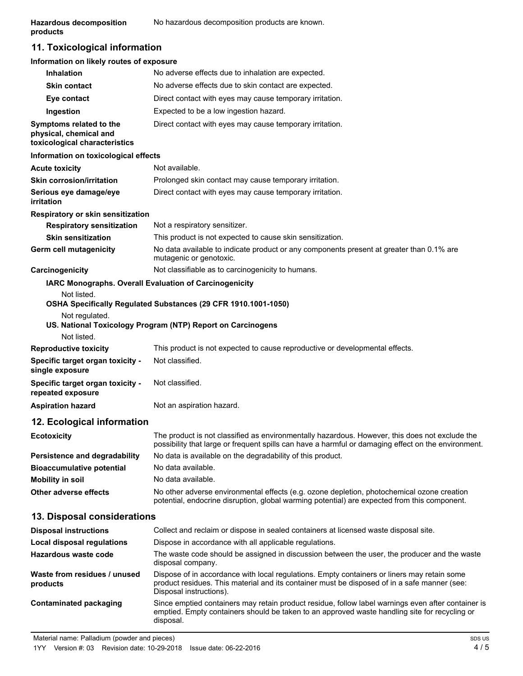# **11. Toxicological information**

#### **Information on likely routes of exposure**

| <b>Inhalation</b>                                                                  | No adverse effects due to inhalation are expected.                                                                                                                                                    |
|------------------------------------------------------------------------------------|-------------------------------------------------------------------------------------------------------------------------------------------------------------------------------------------------------|
| <b>Skin contact</b>                                                                | No adverse effects due to skin contact are expected.                                                                                                                                                  |
| Eye contact                                                                        | Direct contact with eyes may cause temporary irritation.                                                                                                                                              |
| Ingestion                                                                          | Expected to be a low ingestion hazard.                                                                                                                                                                |
| Symptoms related to the<br>physical, chemical and<br>toxicological characteristics | Direct contact with eyes may cause temporary irritation.                                                                                                                                              |
| Information on toxicological effects                                               |                                                                                                                                                                                                       |
| <b>Acute toxicity</b>                                                              | Not available.                                                                                                                                                                                        |
| <b>Skin corrosion/irritation</b>                                                   | Prolonged skin contact may cause temporary irritation.                                                                                                                                                |
| Serious eye damage/eye<br>irritation                                               | Direct contact with eyes may cause temporary irritation.                                                                                                                                              |
| <b>Respiratory or skin sensitization</b>                                           |                                                                                                                                                                                                       |
| <b>Respiratory sensitization</b>                                                   | Not a respiratory sensitizer.                                                                                                                                                                         |
| <b>Skin sensitization</b>                                                          | This product is not expected to cause skin sensitization.                                                                                                                                             |
| <b>Germ cell mutagenicity</b>                                                      | No data available to indicate product or any components present at greater than 0.1% are<br>mutagenic or genotoxic.                                                                                   |
| Carcinogenicity                                                                    | Not classifiable as to carcinogenicity to humans.                                                                                                                                                     |
| Not listed.<br>Not regulated.<br>Not listed.                                       | <b>IARC Monographs. Overall Evaluation of Carcinogenicity</b><br>OSHA Specifically Regulated Substances (29 CFR 1910.1001-1050)<br>US. National Toxicology Program (NTP) Report on Carcinogens        |
| <b>Reproductive toxicity</b>                                                       | This product is not expected to cause reproductive or developmental effects.                                                                                                                          |
| Specific target organ toxicity -<br>single exposure                                | Not classified.                                                                                                                                                                                       |
| Specific target organ toxicity -<br>repeated exposure                              | Not classified.                                                                                                                                                                                       |
| <b>Aspiration hazard</b>                                                           | Not an aspiration hazard.                                                                                                                                                                             |
| 12. Ecological information                                                         |                                                                                                                                                                                                       |
| <b>Ecotoxicity</b>                                                                 | The product is not classified as environmentally hazardous. However, this does not exclude the<br>possibility that large or frequent spills can have a harmful or damaging effect on the environment. |
| <b>Persistence and degradability</b>                                               | No data is available on the degradability of this product.                                                                                                                                            |
| <b>Bioaccumulative potential</b>                                                   | No data available.                                                                                                                                                                                    |
| <b>Mobility in soil</b>                                                            | No data available.                                                                                                                                                                                    |
| Other adverse effects                                                              | No other adverse environmental effects (e.g. ozone depletion, photochemical ozone creation<br>potential, endocrine disruption, global warming potential) are expected from this component.            |
|                                                                                    |                                                                                                                                                                                                       |

### **13. Disposal considerations**

| <b>Disposal instructions</b>             | Collect and reclaim or dispose in sealed containers at licensed waste disposal site.                                                                                                                                   |
|------------------------------------------|------------------------------------------------------------------------------------------------------------------------------------------------------------------------------------------------------------------------|
| <b>Local disposal regulations</b>        | Dispose in accordance with all applicable regulations.                                                                                                                                                                 |
| Hazardous waste code                     | The waste code should be assigned in discussion between the user, the producer and the waste<br>disposal company.                                                                                                      |
| Waste from residues / unused<br>products | Dispose of in accordance with local regulations. Empty containers or liners may retain some<br>product residues. This material and its container must be disposed of in a safe manner (see:<br>Disposal instructions). |
| Contaminated packaging                   | Since emptied containers may retain product residue, follow label warnings even after container is<br>emptied. Empty containers should be taken to an approved waste handling site for recycling or<br>disposal.       |